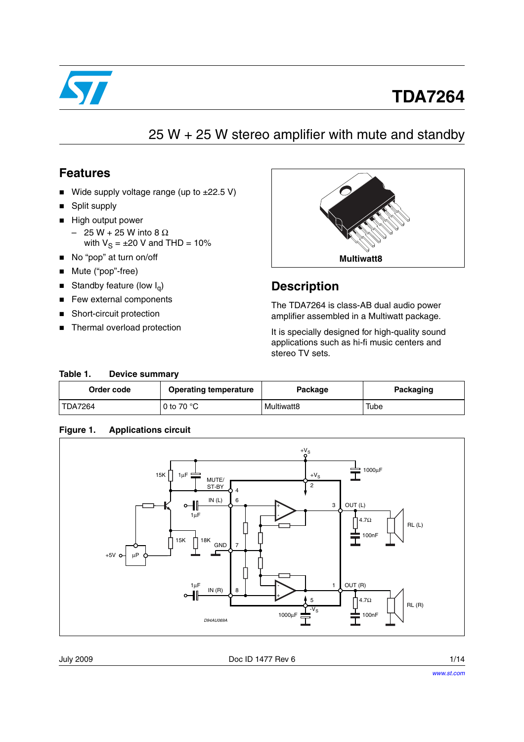

# **TDA7264**

## 25 W + 25 W stereo amplifier with mute and standby

### **Features**

- Wide supply voltage range (up to  $\pm 22.5$  V)
- Split supply
- High output power
	- 25 W + 25 W into 8 Ω with  $V_S = \pm 20$  V and THD = 10%
- No "pop" at turn on/off
- Mute ("pop"-free)
- Standby feature (low  $I_q$ )
- Few external components
- Short-circuit protection
- Thermal overload protection



### **Description**

The TDA7264 is class-AB dual audio power amplifier assembled in a Multiwatt package.

It is specially designed for high-quality sound applications such as hi-fi music centers and stereo TV sets.

#### Table 1. Device summary

| Order code<br><b>Operating temperature</b> |                     | Package    | Packaging |  |
|--------------------------------------------|---------------------|------------|-----------|--|
| TDA7264                                    | 0 to 70 $\degree$ C | Multiwatt8 | Tube      |  |

### **Figure 1. Applications circuit**



July 2009 **Doc ID 1477 Rev 6 Doc ID 1477 Rev 6 1/14**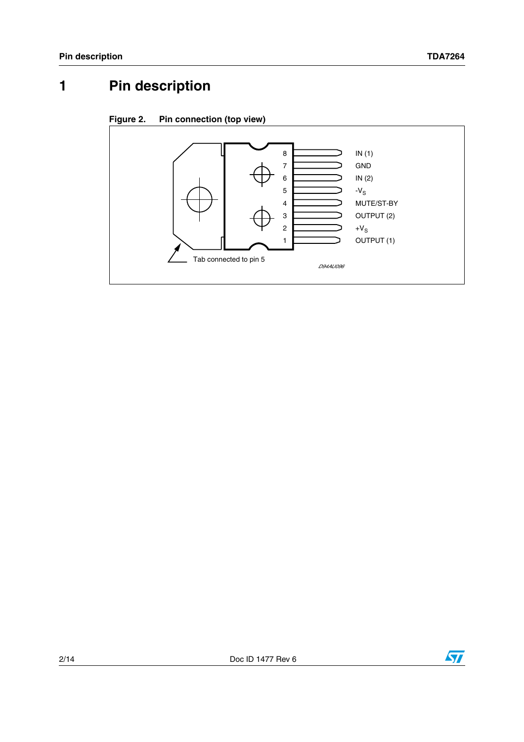# **1 Pin description**





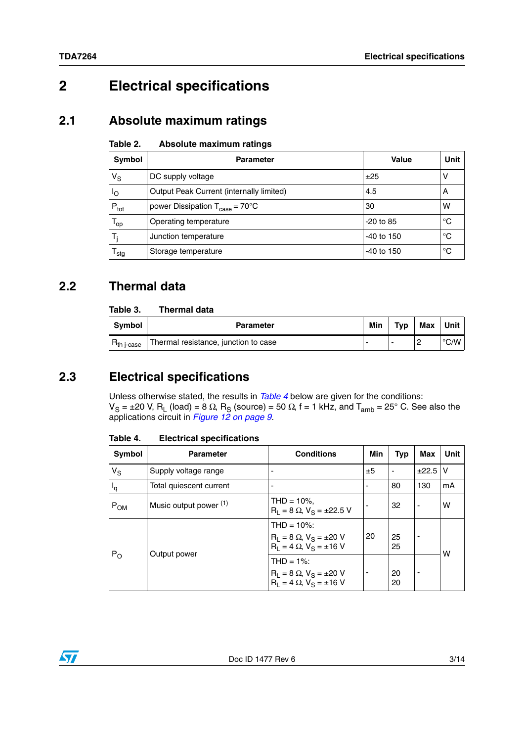# **2 Electrical specifications**

## **2.1 Absolute maximum ratings**

#### Table 2. **Absolute maximum ratings**

| Symbol           | <b>Parameter</b>                                  | Value       | Unit        |
|------------------|---------------------------------------------------|-------------|-------------|
| $V_S$            | DC supply voltage                                 | ±25         | ٧           |
| Ιo               | Output Peak Current (internally limited)          | 4.5         | A           |
| $P_{\text{tot}}$ | power Dissipation $T_{\text{case}} = 70^{\circ}C$ | 30          | w           |
| $T_{op}$         | Operating temperature                             | $-20$ to 85 | °C          |
| т,               | Junction temperature                              | -40 to 150  | $^{\circ}C$ |
| sta              | Storage temperature                               | -40 to 150  | °C          |

## **2.2 Thermal data**

#### Table 3. **Thermal data**

| Symbol                 | <b>Parameter</b>                     | Min | Typ | Max | Unit |
|------------------------|--------------------------------------|-----|-----|-----|------|
| n <sub>th i-case</sub> | Thermal resistance, junction to case |     |     |     | °C/W |

## **2.3 Electrical specifications**

Unless otherwise stated, the results in *[Table 4](#page-2-0)* below are given for the conditions:  $V_S = \pm 20$  V, R<sub>L</sub> (load) = 8 Ω, R<sub>S</sub> (source) = 50 Ω, f = 1 kHz, and T<sub>amb</sub> = 25° C. See also the applications circuit in *[Figure 12 on page 9](#page-8-0)*.

| <b>Symbol</b> | <b>Parameter</b>                  | <b>Conditions</b>                                                                            | Min | Typ      | Max          | Unit |
|---------------|-----------------------------------|----------------------------------------------------------------------------------------------|-----|----------|--------------|------|
| $V_S$         | Supply voltage range              | -                                                                                            | ±5  |          | $\pm 22.5$ V |      |
| $I_q$         | Total quiescent current           |                                                                                              |     | 80       | 130          | mA   |
| $P_{OM}$      | Music output power <sup>(1)</sup> | THD = $10\%$ .<br>$R_L = 8 \Omega$ , $V_S = \pm 22.5 V$                                      |     | 32       |              | w    |
| $P_{O}$       |                                   | $THD = 10\%$ :<br>$R_L = 8 \Omega$ , $V_S = \pm 20 V$<br>$R_1 = 4 \Omega$ , $V_S = \pm 16 V$ | 20  | 25<br>25 |              | w    |
|               | Output power                      | $THD = 1\%$ :<br>$R_L = 8 \Omega$ , $V_S = \pm 20 V$<br>$R_1 = 4 \Omega$ , $V_S = \pm 16 V$  |     | 20<br>20 |              |      |

<span id="page-2-0"></span>Table 4. **Electrical specifications** 



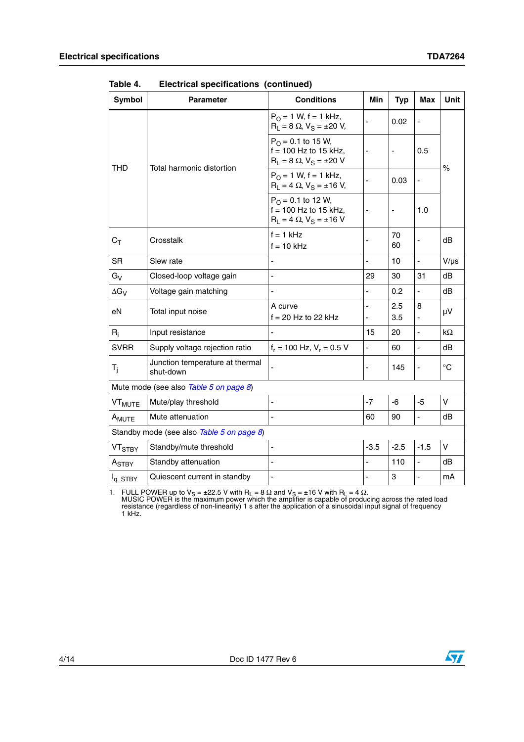| <b>Symbol</b>                             | <b>Parameter</b>                             | <b>Conditions</b>                                                                             | <b>Min</b>               | <b>Typ</b> | Max                      | <b>Unit</b>       |  |
|-------------------------------------------|----------------------------------------------|-----------------------------------------------------------------------------------------------|--------------------------|------------|--------------------------|-------------------|--|
|                                           |                                              | $P_{O} = 1$ W, f = 1 kHz,<br>$R_L = 8 \Omega$ , $V_S = \pm 20 V$ ,                            |                          | 0.02       |                          | $\%$              |  |
| <b>THD</b>                                | Total harmonic distortion                    | $P_{\Omega} = 0.1$ to 15 W,<br>$f = 100$ Hz to 15 kHz,<br>$R_L = 8 \Omega$ , $V_S = \pm 20 V$ |                          |            | 0.5                      |                   |  |
|                                           |                                              | $P_{O} = 1$ W, f = 1 kHz,<br>$R_1 = 4 \Omega$ , $V_S = \pm 16 V$ ,                            |                          | 0.03       |                          |                   |  |
|                                           |                                              | $P_{\Omega} = 0.1$ to 12 W,<br>$f = 100$ Hz to 15 kHz,<br>$R_L = 4 \Omega$ , $V_S = \pm 16 V$ |                          |            | 1.0                      |                   |  |
| $C_T$                                     | Crosstalk                                    | $f = 1$ kHz<br>$f = 10$ kHz                                                                   |                          | 70<br>60   |                          | dB                |  |
| <b>SR</b>                                 | Slew rate                                    |                                                                                               |                          | 10         | ÷,                       | $V/\mu s$         |  |
| $G_V$                                     | Closed-loop voltage gain                     |                                                                                               | 29                       | 30         | 31                       | dB                |  |
| $\Delta G_V$                              | Voltage gain matching                        | $\blacksquare$                                                                                | $\overline{\phantom{0}}$ | 0.2        | $\blacksquare$           | dB                |  |
| eN                                        | Total input noise                            | A curve<br>$f = 20$ Hz to 22 kHz                                                              | ٠                        | 2.5<br>3.5 | 8                        | μV                |  |
| $R_i$                                     | Input resistance                             | $\blacksquare$                                                                                | 15                       | 20         | $\overline{\phantom{a}}$ | $k\Omega$         |  |
| <b>SVRR</b>                               | Supply voltage rejection ratio               | $f_r = 100$ Hz, $V_r = 0.5$ V                                                                 | ÷,                       | 60         |                          | dB                |  |
| T <sub>i</sub>                            | Junction temperature at thermal<br>shut-down |                                                                                               |                          | 145        |                          | $^{\circ}{\rm C}$ |  |
| Mute mode (see also Table 5 on page 8)    |                                              |                                                                                               |                          |            |                          |                   |  |
| VT <sub>MUTE</sub>                        | Mute/play threshold                          | $\overline{\phantom{a}}$                                                                      | $-7$                     | $-6$       | $-5$                     | $\mathsf V$       |  |
| A <sub>MUTE</sub>                         | Mute attenuation                             | L,                                                                                            | 60                       | 90         | ÷,                       | dB                |  |
| Standby mode (see also Table 5 on page 8) |                                              |                                                                                               |                          |            |                          |                   |  |
| <b>VT<sub>STBY</sub></b>                  | Standby/mute threshold                       | ÷,                                                                                            | $-3.5$                   | $-2.5$     | $-1.5$                   | $\vee$            |  |
| A <sub>STBY</sub>                         | Standby attenuation                          | ÷,                                                                                            |                          | 110        |                          | dB                |  |
| $I_{q\_STBY}$                             | Quiescent current in standby                 | L,                                                                                            |                          | 3          | ÷,                       | mA                |  |

**Table 4. Electrical specifications (continued)**

1. FULL POWER up to V<sub>S</sub> = ±22.5 V with R<sub>L</sub> = 8 Ω and V<sub>S</sub> = ±16 V with R<sub>L</sub> = 4 Ω.<br>MUSIC POWER is the maximum power which the amplifier is capable of producing across the rated load<br>resistance (regardless of non-linear 1 kHz.



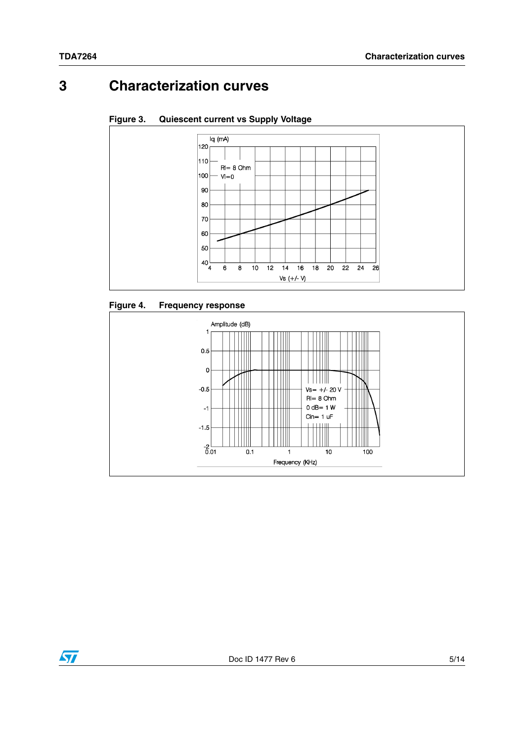## **3 Characterization curves**





### **Figure 4. Frequency response**



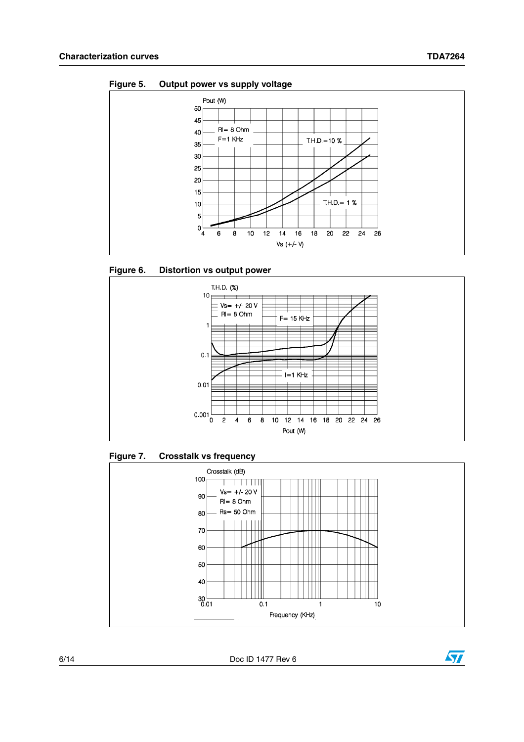







**Figure 7. Crosstalk vs frequency** 



6/14 Doc ID 1477 Rev 6

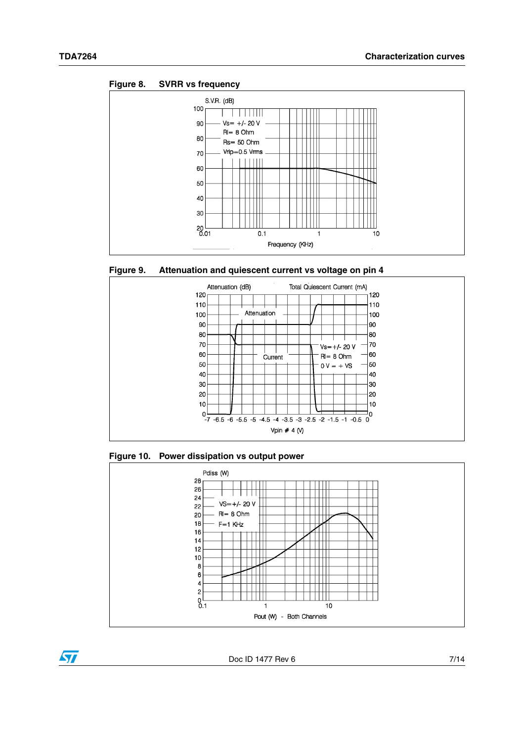











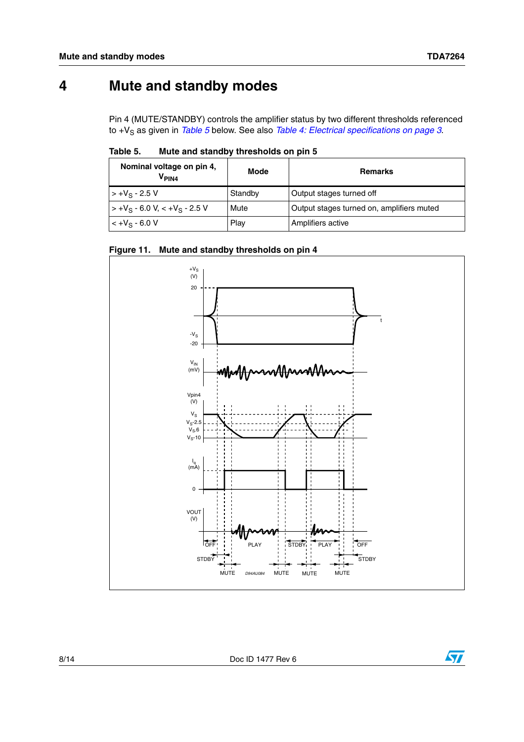## **4 Mute and standby modes**

Pin 4 (MUTE/STANDBY) controls the amplifier status by two different thresholds referenced to +V<sub>S</sub> as given in *[Table 5](#page-7-0)* below. See also *[Table 4: Electrical specifications on page 3](#page-2-0)*.

<span id="page-7-0"></span>

| Table 5. |  | Mute and standby thresholds on pin 5 |  |
|----------|--|--------------------------------------|--|
|          |  |                                      |  |

| Nominal voltage on pin 4,<br>$V_{PIN4}$                      | Mode<br><b>Remarks</b> |                                           |
|--------------------------------------------------------------|------------------------|-------------------------------------------|
| $> +V_S - 2.5 V$                                             | Standby                | Output stages turned off                  |
| $\vert$ > +V <sub>S</sub> - 6.0 V, < +V <sub>S</sub> - 2.5 V | Mute                   | Output stages turned on, amplifiers muted |
| $< +V_S - 6.0 V$                                             | Play                   | Amplifiers active                         |





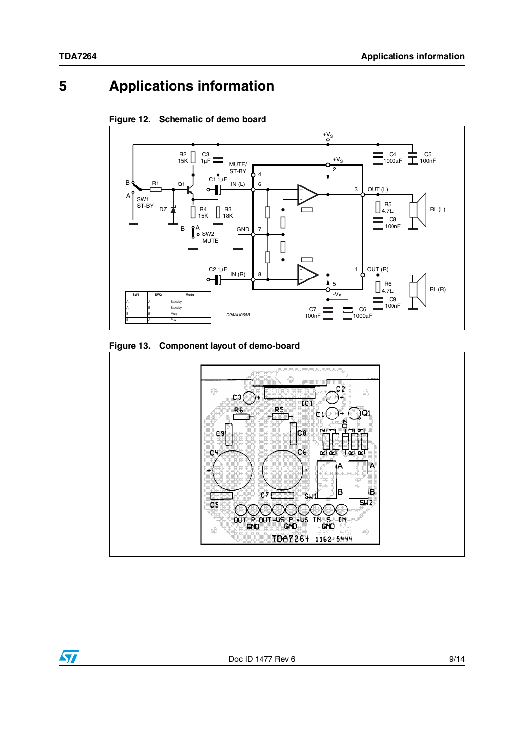## **5 Applications information**



<span id="page-8-0"></span>**Figure 12. Schematic of demo board** 



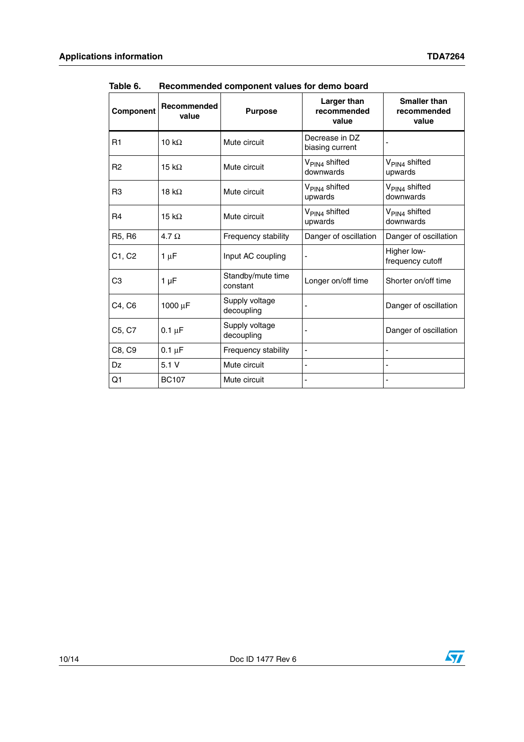| Component      | Recommended<br>value | <b>Purpose</b>                | Larger than<br>recommended<br>value    | <b>Smaller than</b><br>recommended<br>value |
|----------------|----------------------|-------------------------------|----------------------------------------|---------------------------------------------|
| R1             | 10 $k\Omega$         | Mute circuit                  | Decrease in DZ<br>biasing current      |                                             |
| R <sub>2</sub> | 15 k $\Omega$        | Mute circuit                  | V <sub>PIN4</sub> shifted<br>downwards | V <sub>PIN4</sub> shifted<br>upwards        |
| R <sub>3</sub> | 18 k $\Omega$        | Mute circuit                  | V <sub>PIN4</sub> shifted<br>upwards   | V <sub>PIN4</sub> shifted<br>downwards      |
| R <sub>4</sub> | 15 k $\Omega$        | Mute circuit                  | V <sub>PIN4</sub> shifted<br>upwards   | V <sub>PIN4</sub> shifted<br>downwards      |
| R5, R6         | 4.7 $\Omega$         | Frequency stability           | Danger of oscillation                  | Danger of oscillation                       |
| C1, C2         | $1 \mu F$            | Input AC coupling             |                                        | Higher low-<br>frequency cutoff             |
| C <sub>3</sub> | $1 \mu F$            | Standby/mute time<br>constant | Longer on/off time                     | Shorter on/off time                         |
| C4, C6         | 1000 µF              | Supply voltage<br>decoupling  |                                        | Danger of oscillation                       |
| C5, C7         | $0.1 \mu F$          | Supply voltage<br>decoupling  |                                        | Danger of oscillation                       |
| C8, C9         | $0.1 \mu F$          | Frequency stability           |                                        |                                             |
| Dz             | 5.1V                 | Mute circuit                  |                                        |                                             |
| Q1             | <b>BC107</b>         | Mute circuit                  |                                        |                                             |

Table 6. **Table 6. Recommended component values for demo board**

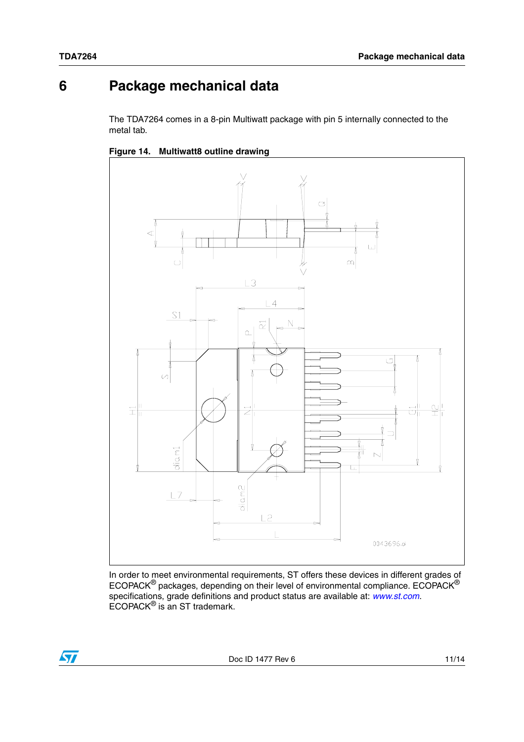$\sqrt{2}$ 

## **6 Package mechanical data**

The TDA7264 comes in a 8-pin Multiwatt package with pin 5 internally connected to the metal tab.





In order to meet environmental requirements, ST offers these devices in different grades of ECOPACK® packages, depending on their level of environmental compliance. ECOPACK® specifications, grade definitions and product status are available at: *[www.st.com](http://www.st.com)*. ECOPACK® is an ST trademark.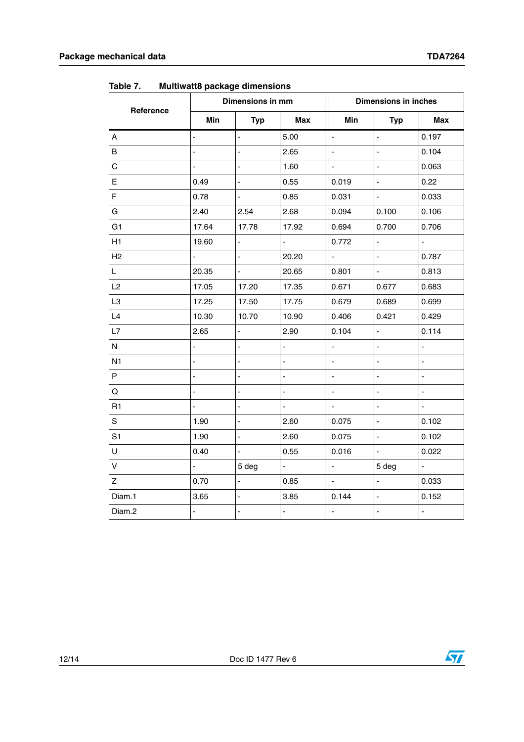|                  | Dimensions in mm         |                              |                          | <b>Dimensions in inches</b> |                          |                |  |
|------------------|--------------------------|------------------------------|--------------------------|-----------------------------|--------------------------|----------------|--|
| Reference        | Min                      | <b>Typ</b>                   | <b>Max</b>               | Min                         | <b>Typ</b>               | <b>Max</b>     |  |
| $\boldsymbol{A}$ |                          |                              | 5.00                     | L,                          | L,                       | 0.197          |  |
| В                | L,                       | $\qquad \qquad \blacksquare$ | 2.65                     | $\frac{1}{2}$               | $\blacksquare$           | 0.104          |  |
| C                | L                        |                              | 1.60                     | $\overline{a}$              | $\overline{a}$           | 0.063          |  |
| E                | 0.49                     | $\overline{\phantom{a}}$     | 0.55                     | 0.019                       | $\overline{\phantom{a}}$ | 0.22           |  |
| F                | 0.78                     | $\overline{a}$               | 0.85                     | 0.031                       | $\overline{a}$           | 0.033          |  |
| G                | 2.40                     | 2.54                         | 2.68                     | 0.094                       | 0.100                    | 0.106          |  |
| G <sub>1</sub>   | 17.64                    | 17.78                        | 17.92                    | 0.694                       | 0.700                    | 0.706          |  |
| H1               | 19.60                    | $\overline{a}$               | $\overline{\phantom{a}}$ | 0.772                       | $\Box$                   | ÷,             |  |
| H2               |                          |                              | 20.20                    | ÷.                          | $\overline{a}$           | 0.787          |  |
| L                | 20.35                    | L,                           | 20.65                    | 0.801                       | ä,                       | 0.813          |  |
| L2               | 17.05                    | 17.20                        | 17.35                    | 0.671                       | 0.677                    | 0.683          |  |
| L3               | 17.25                    | 17.50                        | 17.75                    | 0.679                       | 0.689                    | 0.699          |  |
| L4               | 10.30                    | 10.70                        | 10.90                    | 0.406                       | 0.421                    | 0.429          |  |
| L7               | 2.65                     | $\overline{a}$               | 2.90                     | 0.104                       | $\overline{a}$           | 0.114          |  |
| N                |                          |                              | ÷,                       | $\overline{a}$              | L,                       | $\overline{a}$ |  |
| N <sub>1</sub>   | L                        |                              | ÷,                       | L,                          | L,                       | $\overline{a}$ |  |
| P                |                          |                              | L,                       | $\overline{a}$              | L,                       | L,             |  |
| Q                | ÷,                       |                              | $\overline{\phantom{0}}$ | $\overline{a}$              | ÷                        | $\overline{a}$ |  |
| R <sub>1</sub>   |                          |                              |                          | ä,                          |                          | L,             |  |
| S                | 1.90                     | $\overline{\phantom{a}}$     | 2.60                     | 0.075                       | $\overline{a}$           | 0.102          |  |
| S <sub>1</sub>   | 1.90                     | $\blacksquare$               | 2.60                     | 0.075                       | $\blacksquare$           | 0.102          |  |
| U                | 0.40                     |                              | 0.55                     | 0.016                       |                          | 0.022          |  |
| V                | $\overline{\phantom{0}}$ | 5 deg                        | $\blacksquare$           | $\blacksquare$              | 5 deg                    | $\blacksquare$ |  |
| Ζ                | 0.70                     | $\frac{1}{2}$                | 0.85                     | $\overline{a}$              | $\overline{a}$           | 0.033          |  |
| Diam.1           | 3.65                     | ÷,                           | 3.85                     | 0.144                       | L,                       | 0.152          |  |
| Diam.2           | $\overline{\phantom{a}}$ | $\blacksquare$               | ÷,                       | $\blacksquare$              | L,                       | $\blacksquare$ |  |

Table 7. **Multiwatt8 package dimensions** 

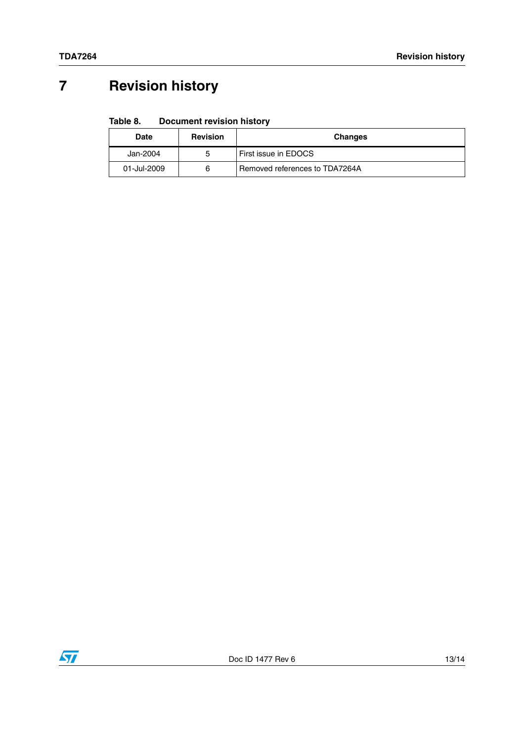# **7 Revision history**

#### Table 8. **Document revision history**

| Date        | <b>Revision</b> | <b>Changes</b>                 |
|-------------|-----------------|--------------------------------|
| Jan-2004    | 5               | First issue in EDOCS           |
| 01-Jul-2009 | 6               | Removed references to TDA7264A |